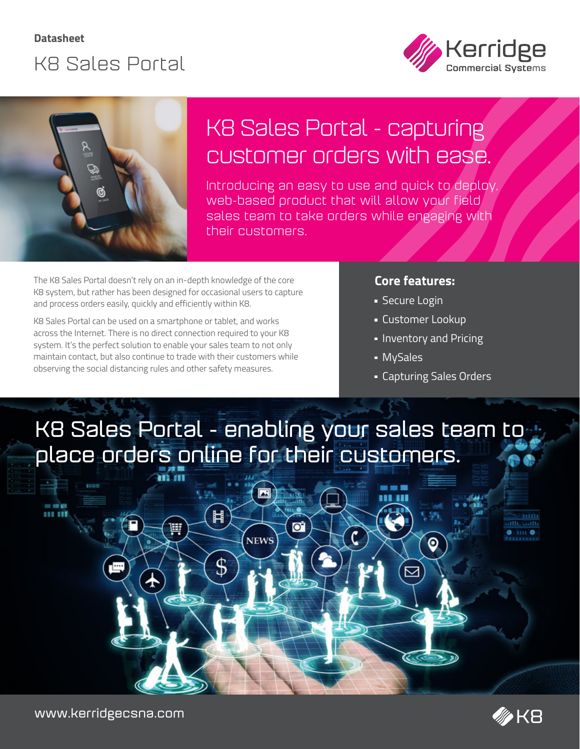



## K8 Sales Portal - capturing customer orders with ease.

Introducing an easy to use and quick to deploy, web-based product that will allow your field sales team to take orders while engaging with their customers.

The K8 Sales Portal doesn't rely on an in-depth knowledge of the core K8 system, but rather has been designed for occasional users to capture and process orders easily, quickly and efficiently within K8.

K8 Sales Portal can be used on a smartphone or tablet, and works across the Internet. There is no direct connection required to your K8 system. It's the perfect solution to enable your sales team to not only maintain contact, but also continue to trade with their customers while observing the social distancing rules and other safety measures.

### **Core features:**

- **Secure Login**
- Customer Lookup
- **Inventory and Pricing**
- MySales
- Capturing Sales Orders

⊙

## **K8 Sales Portal - enabling your sales team to place orders online for their customers.**

ō

**NEWS** 





Ħ

\$



THE O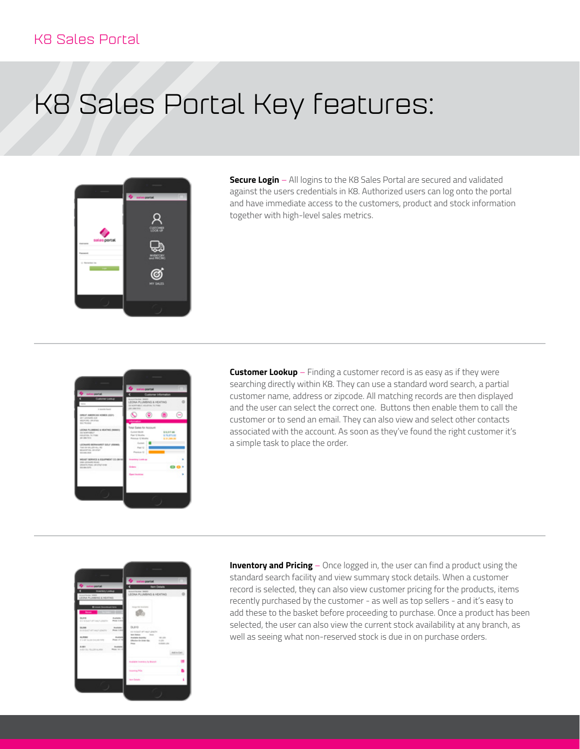### K8 Sales Portal

# K8 Sales Portal Key features:



**Secure Login** – All logins to the K8 Sales Portal are secured and validated against the users credentials in K8. Authorized users can log onto the portal and have immediate access to the customers, product and stock information together with high-level sales metrics.



**Customer Lookup** – Finding a customer record is as easy as if they were searching directly within K8. They can use a standard word search, a partial customer name, address or zipcode. All matching records are then displayed and the user can select the correct one. Buttons then enable them to call the customer or to send an email. They can also view and select other contacts associated with the account. As soon as they've found the right customer it's a simple task to place the order.



**Inventory and Pricing** – Once logged in, the user can find a product using the standard search facility and view summary stock details. When a customer record is selected, they can also view customer pricing for the products, items recently purchased by the customer - as well as top sellers - and it's easy to add these to the basket before proceeding to purchase. Once a product has been selected, the user can also view the current stock availability at any branch, as well as seeing what non-reserved stock is due in on purchase orders.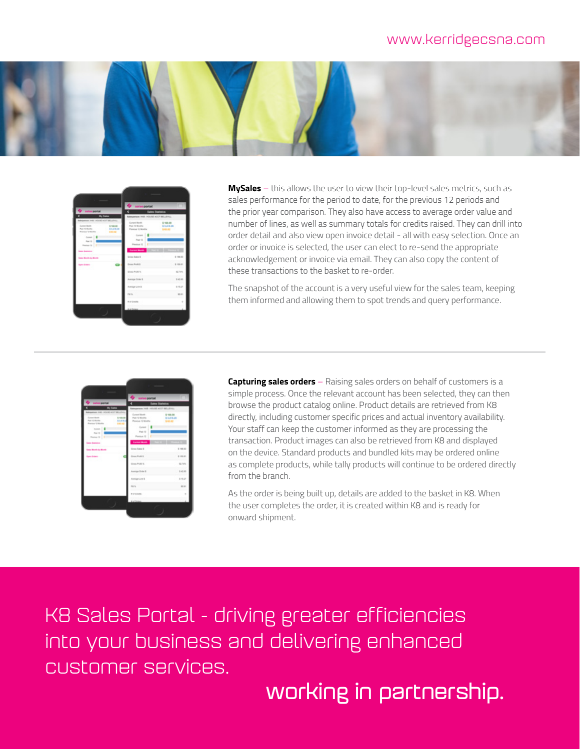### www.kerridgecsna.com





**MySales** – this allows the user to view their top-level sales metrics, such as sales performance for the period to date, for the previous 12 periods and the prior year comparison. They also have access to average order value and number of lines, as well as summary totals for credits raised. They can drill into order detail and also view open invoice detail - all with easy selection. Once an order or invoice is selected, the user can elect to re-send the appropriate acknowledgement or invoice via email. They can also copy the content of these transactions to the basket to re-order.

The snapshot of the account is a very useful view for the sales team, keeping them informed and allowing them to spot trends and query performance.



**Capturing sales orders** – Raising sales orders on behalf of customers is a simple process. Once the relevant account has been selected, they can then browse the product catalog online. Product details are retrieved from K8 directly, including customer specific prices and actual inventory availability. Your staff can keep the customer informed as they are processing the transaction. Product images can also be retrieved from K8 and displayed on the device. Standard products and bundled kits may be ordered online as complete products, while tally products will continue to be ordered directly from the branch.

As the order is being built up, details are added to the basket in K8. When the user completes the order, it is created within K8 and is ready for onward shipment.

K8 Sales Portal - driving greater efficiencies into your business and delivering enhanced customer services.

**working in partnership.**